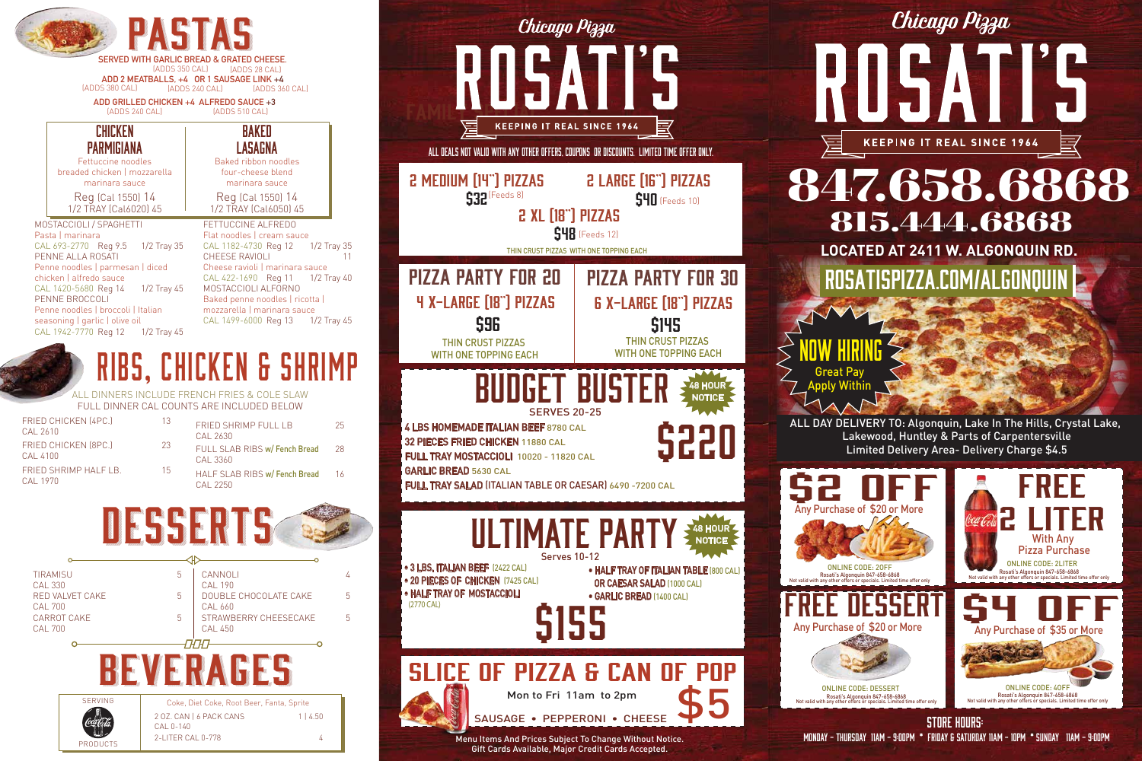

Chicago Pizza



ALL DAY DELIVERY TO: Algonquin, Lake In The Hills, Crystal Lake, Limited Delivery Area- Delivery Charge \$4.5 Great Pay **ply Within** 

## **LOCATED AT 2411 W. ALGONQUIN RD.** 847.658.6868 rosatispizza.com/algonquin 815.444.6868



now hiring